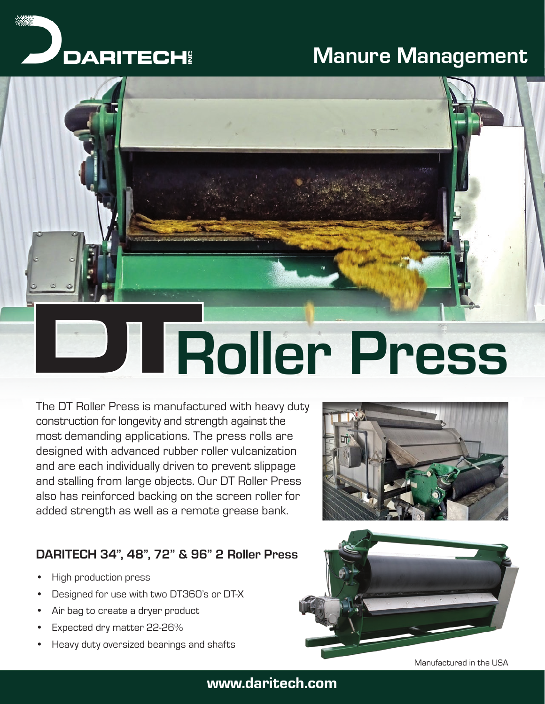# Manure Management





# Roller Press

The DT Roller Press is manufactured with heavy duty construction for longevity and strength against the most demanding applications. The press rolls are designed with advanced rubber roller vulcanization and are each individually driven to prevent slippage and stalling from large objects. Our DT Roller Press also has reinforced backing on the screen roller for added strength as well as a remote grease bank.

# DARITECH 34", 48", 72" & 96" 2 Roller Press

- High production press
- Designed for use with two DT360's or DT-X
- Air bag to create a dryer product
- Expected dry matter 22-26%
- Heavy duty oversized bearings and shafts





## www.daritech.com